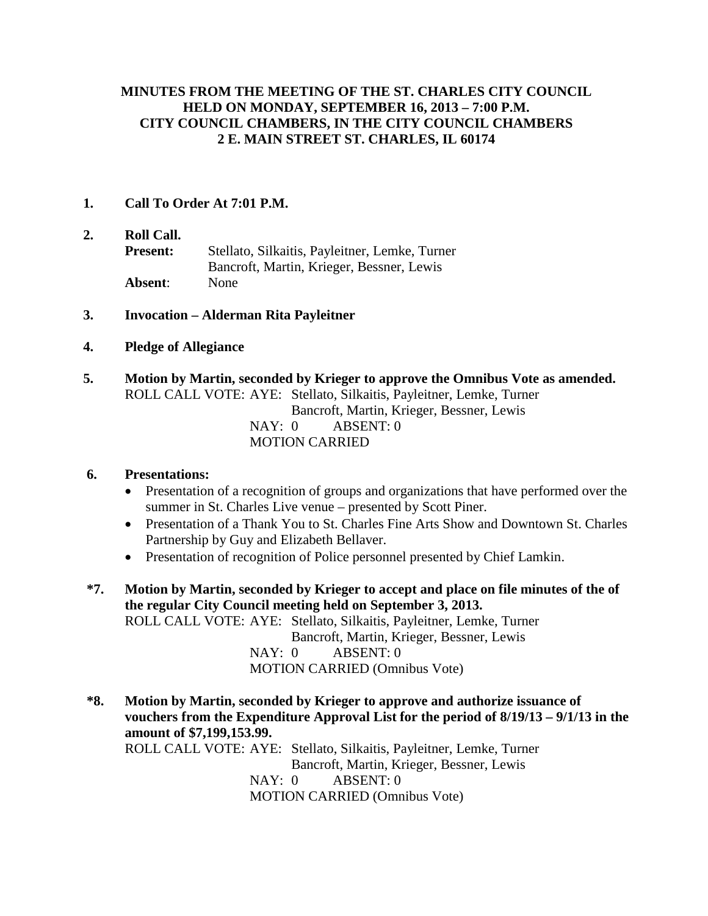### **MINUTES FROM THE MEETING OF THE ST. CHARLES CITY COUNCIL HELD ON MONDAY, SEPTEMBER 16, 2013 – 7:00 P.M. CITY COUNCIL CHAMBERS, IN THE CITY COUNCIL CHAMBERS 2 E. MAIN STREET ST. CHARLES, IL 60174**

- **1. Call To Order At 7:01 P.M.**
- **2. Roll Call. Present:** Stellato, Silkaitis, Payleitner, Lemke, Turner Bancroft, Martin, Krieger, Bessner, Lewis **Absent**: None
- **3. Invocation – Alderman Rita Payleitner**
- **4. Pledge of Allegiance**
- **5. Motion by Martin, seconded by Krieger to approve the Omnibus Vote as amended.** ROLL CALL VOTE: AYE: Stellato, Silkaitis, Payleitner, Lemke, Turner Bancroft, Martin, Krieger, Bessner, Lewis NAY: 0 ABSENT: 0 MOTION CARRIED

### **6. Presentations:**

- Presentation of a recognition of groups and organizations that have performed over the summer in St. Charles Live venue – presented by Scott Piner.
- Presentation of a Thank You to St. Charles Fine Arts Show and Downtown St. Charles Partnership by Guy and Elizabeth Bellaver.
- Presentation of recognition of Police personnel presented by Chief Lamkin.
- **\*7. Motion by Martin, seconded by Krieger to accept and place on file minutes of the of the regular City Council meeting held on September 3, 2013.** ROLL CALL VOTE: AYE: Stellato, Silkaitis, Payleitner, Lemke, Turner Bancroft, Martin, Krieger, Bessner, Lewis NAY: 0 ABSENT: 0 MOTION CARRIED (Omnibus Vote)

**\*8. Motion by Martin, seconded by Krieger to approve and authorize issuance of vouchers from the Expenditure Approval List for the period of 8/19/13 – 9/1/13 in the amount of \$7,199,153.99.** ROLL CALL VOTE: AYE: Stellato, Silkaitis, Payleitner, Lemke, Turner Bancroft, Martin, Krieger, Bessner, Lewis NAY: 0 ABSENT: 0 MOTION CARRIED (Omnibus Vote)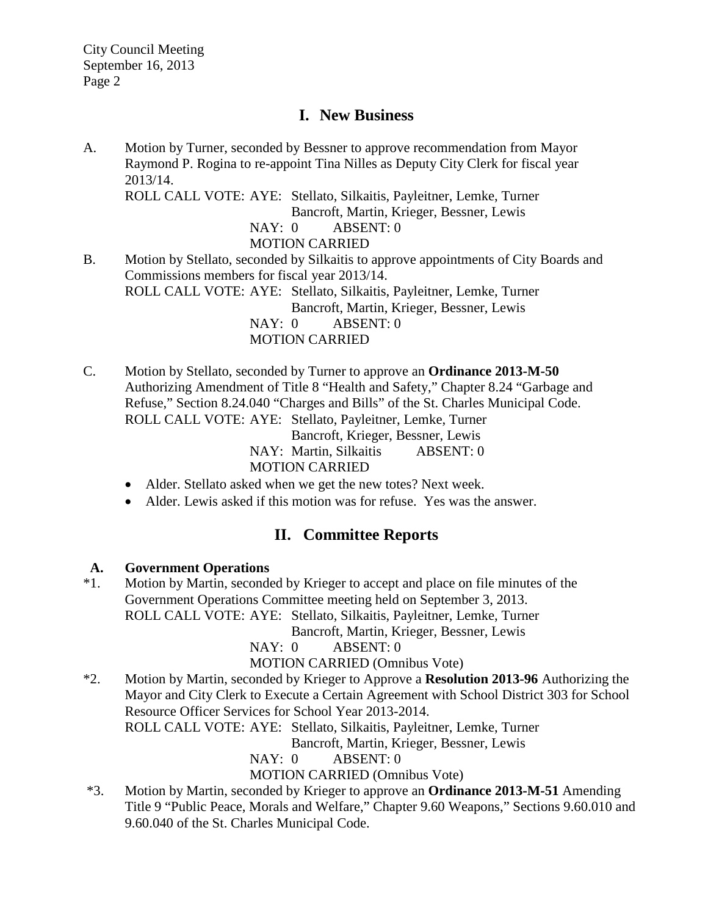## **I. New Business**

A. Motion by Turner, seconded by Bessner to approve recommendation from Mayor Raymond P. Rogina to re-appoint Tina Nilles as Deputy City Clerk for fiscal year 2013/14. ROLL CALL VOTE: AYE: Stellato, Silkaitis, Payleitner, Lemke, Turner Bancroft, Martin, Krieger, Bessner, Lewis NAY: 0 ABSENT: 0 MOTION CARRIED B. Motion by Stellato, seconded by Silkaitis to approve appointments of City Boards and Commissions members for fiscal year 2013/14. ROLL CALL VOTE: AYE: Stellato, Silkaitis, Payleitner, Lemke, Turner

Bancroft, Martin, Krieger, Bessner, Lewis

NAY: 0 ABSENT: 0

MOTION CARRIED

C. Motion by Stellato, seconded by Turner to approve an **Ordinance 2013-M-50** Authorizing Amendment of Title 8 "Health and Safety," Chapter 8.24 "Garbage and Refuse," Section 8.24.040 "Charges and Bills" of the St. Charles Municipal Code. ROLL CALL VOTE: AYE: Stellato, Payleitner, Lemke, Turner Bancroft, Krieger, Bessner, Lewis

NAY: Martin, Silkaitis ABSENT: 0 MOTION CARRIED

- Alder. Stellato asked when we get the new totes? Next week.
- Alder. Lewis asked if this motion was for refuse. Yes was the answer.

## **II. Committee Reports**

### **A. Government Operations**

\*1. Motion by Martin, seconded by Krieger to accept and place on file minutes of the Government Operations Committee meeting held on September 3, 2013. ROLL CALL VOTE: AYE: Stellato, Silkaitis, Payleitner, Lemke, Turner

Bancroft, Martin, Krieger, Bessner, Lewis

NAY: 0 ABSENT: 0

MOTION CARRIED (Omnibus Vote)

\*2. Motion by Martin, seconded by Krieger to Approve a **Resolution 2013-96** Authorizing the Mayor and City Clerk to Execute a Certain Agreement with School District 303 for School Resource Officer Services for School Year 2013-2014.

ROLL CALL VOTE: AYE: Stellato, Silkaitis, Payleitner, Lemke, Turner

Bancroft, Martin, Krieger, Bessner, Lewis

NAY: 0 ABSENT: 0

MOTION CARRIED (Omnibus Vote)

\*3. Motion by Martin, seconded by Krieger to approve an **Ordinance 2013-M-51** Amending Title 9 "Public Peace, Morals and Welfare," Chapter 9.60 Weapons," Sections 9.60.010 and 9.60.040 of the St. Charles Municipal Code.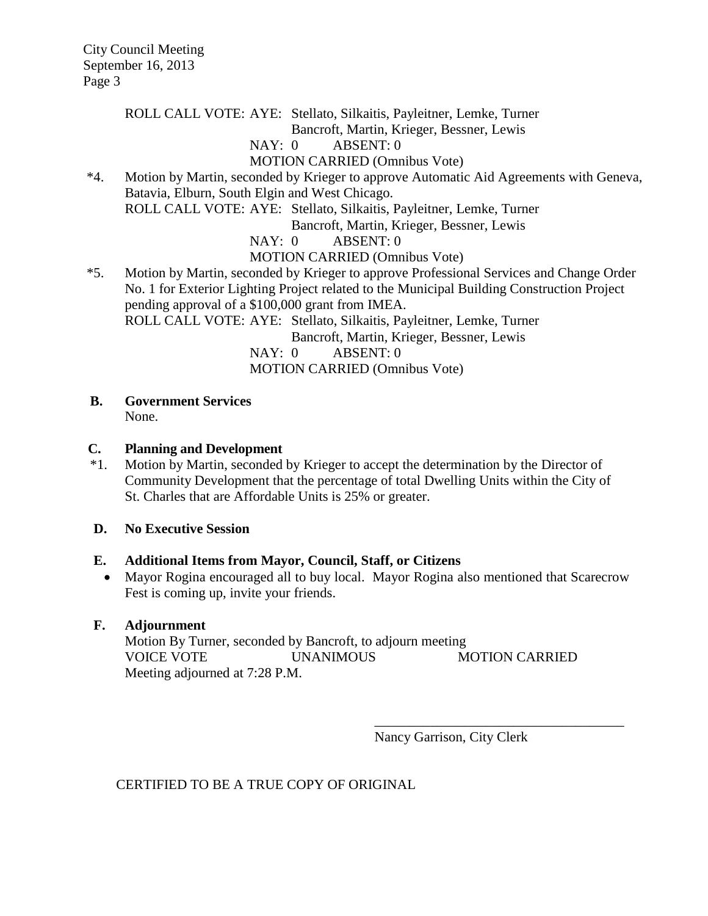ROLL CALL VOTE: AYE: Stellato, Silkaitis, Payleitner, Lemke, Turner

Bancroft, Martin, Krieger, Bessner, Lewis

# NAY: 0 ABSENT: 0

MOTION CARRIED (Omnibus Vote)

\*4. Motion by Martin, seconded by Krieger to approve Automatic Aid Agreements with Geneva, Batavia, Elburn, South Elgin and West Chicago. ROLL CALL VOTE: AYE: Stellato, Silkaitis, Payleitner, Lemke, Turner Bancroft, Martin, Krieger, Bessner, Lewis

NAY: 0 ABSENT: 0

MOTION CARRIED (Omnibus Vote)

\*5. Motion by Martin, seconded by Krieger to approve Professional Services and Change Order No. 1 for Exterior Lighting Project related to the Municipal Building Construction Project pending approval of a \$100,000 grant from IMEA. ROLL CALL VOTE: AYE: Stellato, Silkaitis, Payleitner, Lemke, Turner Bancroft, Martin, Krieger, Bessner, Lewis

NAY: 0 ABSENT: 0 MOTION CARRIED (Omnibus Vote)

 **B. Government Services**

None.

### **C. Planning and Development**

 \*1. Motion by Martin, seconded by Krieger to accept the determination by the Director of Community Development that the percentage of total Dwelling Units within the City of St. Charles that are Affordable Units is 25% or greater.

### **D. No Executive Session**

### **E. Additional Items from Mayor, Council, Staff, or Citizens**

• Mayor Rogina encouraged all to buy local. Mayor Rogina also mentioned that Scarecrow Fest is coming up, invite your friends.

## **F. Adjournment**

Motion By Turner, seconded by Bancroft, to adjourn meeting VOICE VOTE UNANIMOUS MOTION CARRIED Meeting adjourned at 7:28 P.M.

Nancy Garrison, City Clerk

\_\_\_\_\_\_\_\_\_\_\_\_\_\_\_\_\_\_\_\_\_\_\_\_\_\_\_\_\_\_\_\_\_\_\_\_

CERTIFIED TO BE A TRUE COPY OF ORIGINAL